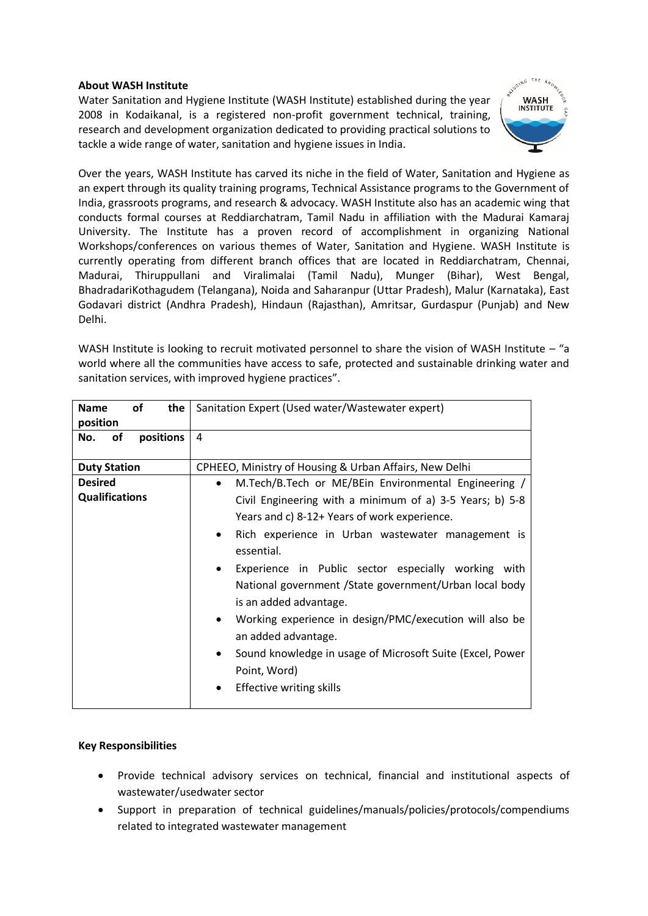## **About WASH Institute**

Water Sanitation and Hygiene Institute (WASH Institute) established during the year 2008 in Kodaikanal, is a registered non-profit government technical, training, research and development organization dedicated to providing practical solutions to tackle a wide range of water, sanitation and hygiene issues in India.



Over the years, WASH Institute has carved its niche in the field of Water, Sanitation and Hygiene as an expert through its quality training programs, Technical Assistance programs to the Government of India, grassroots programs, and research & advocacy. WASH Institute also has an academic wing that conducts formal courses at Reddiarchatram, Tamil Nadu in affiliation with the Madurai Kamaraj University. The Institute has a proven record of accomplishment in organizing National Workshops/conferences on various themes of Water, Sanitation and Hygiene. WASH Institute is currently operating from different branch offices that are located in Reddiarchatram, Chennai, Madurai, Thiruppullani and Viralimalai (Tamil Nadu), Munger (Bihar), West Bengal, BhadradariKothagudem (Telangana), Noida and Saharanpur (Uttar Pradesh), Malur (Karnataka), East Godavari district (Andhra Pradesh), Hindaun (Rajasthan), Amritsar, Gurdaspur (Punjab) and New Delhi.

WASH Institute is looking to recruit motivated personnel to share the vision of WASH Institute – "a world where all the communities have access to safe, protected and sustainable drinking water and sanitation services, with improved hygiene practices".

| <b>of</b><br>the<br><b>Name</b><br>position | Sanitation Expert (Used water/Wastewater expert)                                                                                                                                                                                                                                                                                                                                                                                                                                                                                                                       |
|---------------------------------------------|------------------------------------------------------------------------------------------------------------------------------------------------------------------------------------------------------------------------------------------------------------------------------------------------------------------------------------------------------------------------------------------------------------------------------------------------------------------------------------------------------------------------------------------------------------------------|
| positions<br>No.<br>οf                      | 4                                                                                                                                                                                                                                                                                                                                                                                                                                                                                                                                                                      |
| <b>Duty Station</b>                         | CPHEEO, Ministry of Housing & Urban Affairs, New Delhi                                                                                                                                                                                                                                                                                                                                                                                                                                                                                                                 |
| <b>Desired</b>                              | M.Tech/B.Tech or ME/BEIn Environmental Engineering /<br>$\bullet$                                                                                                                                                                                                                                                                                                                                                                                                                                                                                                      |
| <b>Qualifications</b>                       | Civil Engineering with a minimum of a) 3-5 Years; b) 5-8<br>Years and c) 8-12+ Years of work experience.<br>Rich experience in Urban wastewater management is<br>$\bullet$<br>essential.<br>Experience in Public sector especially working with<br>$\bullet$<br>National government / State government/Urban local body<br>is an added advantage.<br>Working experience in design/PMC/execution will also be<br>$\bullet$<br>an added advantage.<br>Sound knowledge in usage of Microsoft Suite (Excel, Power<br>$\bullet$<br>Point, Word)<br>Effective writing skills |
|                                             |                                                                                                                                                                                                                                                                                                                                                                                                                                                                                                                                                                        |

# **Key Responsibilities**

- Provide technical advisory services on technical, financial and institutional aspects of wastewater/usedwater sector
- Support in preparation of technical guidelines/manuals/policies/protocols/compendiums related to integrated wastewater management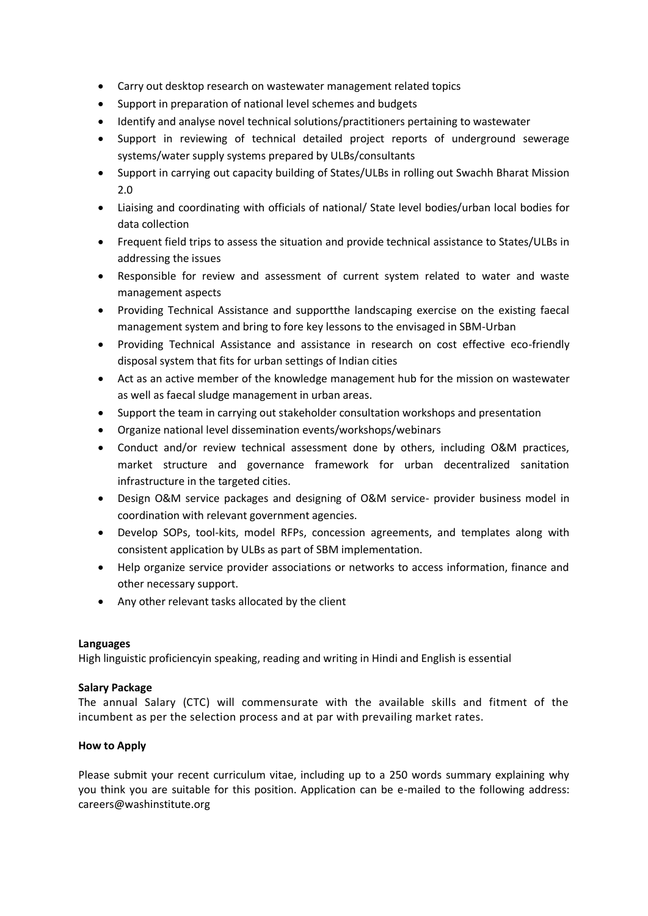- Carry out desktop research on wastewater management related topics
- Support in preparation of national level schemes and budgets
- Identify and analyse novel technical solutions/practitioners pertaining to wastewater
- Support in reviewing of technical detailed project reports of underground sewerage systems/water supply systems prepared by ULBs/consultants
- Support in carrying out capacity building of States/ULBs in rolling out Swachh Bharat Mission 2.0
- Liaising and coordinating with officials of national/ State level bodies/urban local bodies for data collection
- Frequent field trips to assess the situation and provide technical assistance to States/ULBs in addressing the issues
- Responsible for review and assessment of current system related to water and waste management aspects
- Providing Technical Assistance and supportthe landscaping exercise on the existing faecal management system and bring to fore key lessons to the envisaged in SBM-Urban
- Providing Technical Assistance and assistance in research on cost effective eco-friendly disposal system that fits for urban settings of Indian cities
- Act as an active member of the knowledge management hub for the mission on wastewater as well as faecal sludge management in urban areas.
- Support the team in carrying out stakeholder consultation workshops and presentation
- Organize national level dissemination events/workshops/webinars
- Conduct and/or review technical assessment done by others, including O&M practices, market structure and governance framework for urban decentralized sanitation infrastructure in the targeted cities.
- Design O&M service packages and designing of O&M service- provider business model in coordination with relevant government agencies.
- Develop SOPs, tool-kits, model RFPs, concession agreements, and templates along with consistent application by ULBs as part of SBM implementation.
- Help organize service provider associations or networks to access information, finance and other necessary support.
- Any other relevant tasks allocated by the client

### **Languages**

High linguistic proficiencyin speaking, reading and writing in Hindi and English is essential

# **Salary Package**

The annual Salary (CTC) will commensurate with the available skills and fitment of the incumbent as per the selection process and at par with prevailing market rates.

# **How to Apply**

Please submit your recent curriculum vitae, including up to a 250 words summary explaining why you think you are suitable for this position. Application can be e-mailed to the following address: careers@washinstitute.org